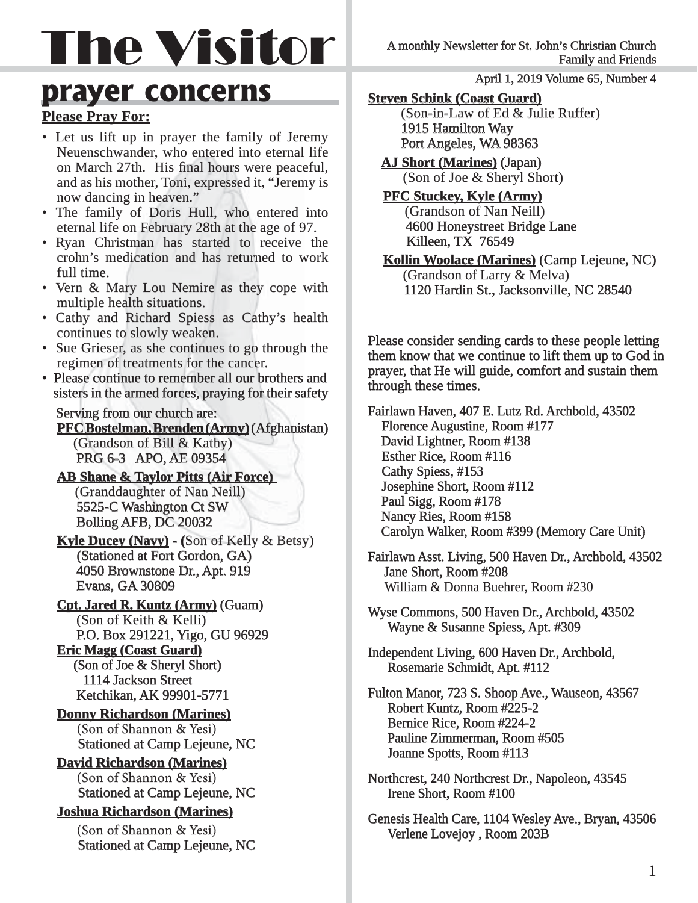# The Visitor

### **prayer concerns**

#### **Please Pray For:**

- Let us lift up in prayer the family of Jeremy Neuenschwander, who entered into eternal life on March 27th. His final hours were peaceful, and as his mother, Toni, expressed it, "Jeremy is now dancing in heaven."
- The family of Doris Hull, who entered into eternal life on February 28th at the age of 97.
- Ryan Christman has started to receive the crohn's medication and has returned to work full time.
- Vern & Mary Lou Nemire as they cope with multiple health situations.
- Cathy and Richard Spiess as Cathy's health continues to slowly weaken.
- Sue Grieser, as she continues to go through the regimen of treatments for the cancer.
- Please continue to remember all our brothers and sisters in the armed forces, praying for their safety

#### Serving from our church are:

 **PFC Bostelman, Brenden (Army)** (Afghanistan) (Grandson of Bill  $&$  Kathy) PRG 6-3 APO, AE 09354

**AB Shane & Taylor Pitts (Air Force)** (Granddaughter of Nan Neill) 5525-C Washington Ct SW **Bolling AFB, DC 20032** 

#### **Kyle Ducey (Navy) - (Son of Kelly & Betsy) (Stationed at Fort Gordon, GA)** 4050 Brownstone Dr., Apt. 919 Evans, GA 30809

**Cpt. Jared R. Kuntz (Army)** (Guam) (Son of Keith & Kelli) P.O. Box 291221, Yigo, GU 96929

 **Eric Magg (Coast Guard) ric**  (Son of Joe  $&$  Sheryl Short) 1114 Jackson Street Ketchikan, AK 99901-5771

**Donny Richardson (Marines) (Son of Shannon & Yesi) Stationed at Camp Lejeune, NC** 

**David Richardson (Marines) (Son of Shannon & Yesi) Stationed at Camp Lejeune, NC** 

**Joshua Richardson (Marines) oshua (Marines)** 

**(Son of Shannon & Yesi) Stationed at Camp Lejeune, NC**  April 1, 2019 Volume 65, Number 4

#### **Steven Schink (Coast Guard)**

 (Son-in-Law of Ed & Julie Ruffer) 1915 Hamilton Way Port Angeles, WA 98363

**AJ Short (Marines)** (Japan) (Son of Joe  $&$  Sheryl Short)

#### **PFC Stuckey, Kyle (Army)**

(Grandson of Nan Neill) 4600 Honeystreet Bridge Lane Killeen, TX 76549

**Kollin Woolace (Marines)** (Camp Lejeune, NC) (Grandson of Larry  $&$  Melva) 1120 Hardin St., Jacksonville, NC 28540

Please consider sending cards to these people letting them know that we continue to lift them up to God in prayer, that He will guide, comfort and sustain them through these times.

Fairlawn Haven, 407 E. Lutz Rd. Archbold, 43502 Florence Augustine, Room #177 David Lightner, Room #138 Esther Rice, Room #116 Cathy Spiess, #153 Josephine Short, Room #112 Paul Sigg, Room #178 Nancy Ries, Room #158 Carolyn Walker, Room #399 (Memory Care Unit)

- Fairlawn Asst. Living, 500 Haven Dr., Archbold, 43502 Jane Short, Room #208 William & Donna Buehrer, Room #230
- Wyse Commons, 500 Haven Dr., Archbold, 43502 Wayne & Susanne Spiess, Apt. #309
- Independent Living, 600 Haven Dr., Archbold, Rosemarie Schmidt, Apt. #112
- Fulton Manor, 723 S. Shoop Ave., Wauseon, 43567 Robert Kuntz, Room #225-2 Bernice Rice, Room #224-2 Pauline Zimmerman, Room #505 Joanne Spotts, Room #113
- Northcrest, 240 Northcrest Dr., Napoleon, 43545 Irene Short, Room #100
- Genesis Health Care, 1104 Wesley Ave., Bryan, 43506 Verlene Lovejoy , Room 203B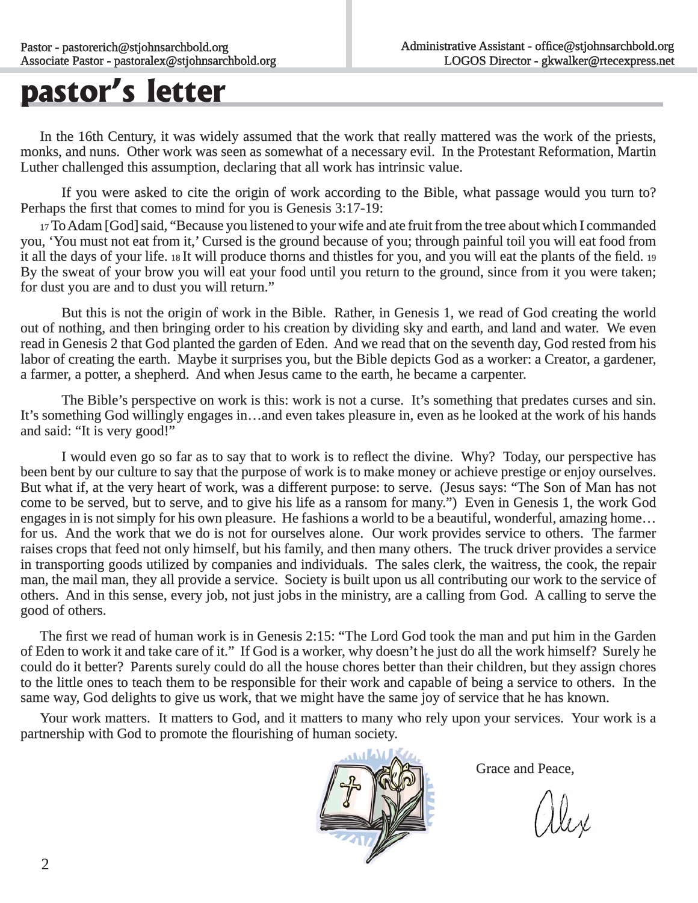### **pastor's letter**

In the 16th Century, it was widely assumed that the work that really mattered was the work of the priests, monks, and nuns. Other work was seen as somewhat of a necessary evil. In the Protestant Reformation, Martin Luther challenged this assumption, declaring that all work has intrinsic value.

If you were asked to cite the origin of work according to the Bible, what passage would you turn to? Perhaps the first that comes to mind for you is Genesis 3:17-19:

17 To Adam [God] said, "Because you listened to your wife and ate fruit from the tree about which I commanded you, 'You must not eat from it,' Cursed is the ground because of you; through painful toil you will eat food from it all the days of your life. 18 It will produce thorns and thistles for you, and you will eat the plants of the field. 19 By the sweat of your brow you will eat your food until you return to the ground, since from it you were taken; for dust you are and to dust you will return."

 But this is not the origin of work in the Bible. Rather, in Genesis 1, we read of God creating the world out of nothing, and then bringing order to his creation by dividing sky and earth, and land and water. We even read in Genesis 2 that God planted the garden of Eden. And we read that on the seventh day, God rested from his labor of creating the earth. Maybe it surprises you, but the Bible depicts God as a worker: a Creator, a gardener, a farmer, a potter, a shepherd. And when Jesus came to the earth, he became a carpenter.

The Bible's perspective on work is this: work is not a curse. It's something that predates curses and sin. It's something God willingly engages in...and even takes pleasure in, even as he looked at the work of his hands and said: "It is very good!"

I would even go so far as to say that to work is to reflect the divine. Why? Today, our perspective has been bent by our culture to say that the purpose of work is to make money or achieve prestige or enjoy ourselves. But what if, at the very heart of work, was a different purpose: to serve. (Jesus says: "The Son of Man has not come to be served, but to serve, and to give his life as a ransom for many.") Even in Genesis 1, the work God engages in is not simply for his own pleasure. He fashions a world to be a beautiful, wonderful, amazing home... for us. And the work that we do is not for ourselves alone. Our work provides service to others. The farmer raises crops that feed not only himself, but his family, and then many others. The truck driver provides a service in transporting goods utilized by companies and individuals. The sales clerk, the waitress, the cook, the repair man, the mail man, they all provide a service. Society is built upon us all contributing our work to the service of others. And in this sense, every job, not just jobs in the ministry, are a calling from God. A calling to serve the good of others.

The first we read of human work is in Genesis 2:15: "The Lord God took the man and put him in the Garden of Eden to work it and take care of it." If God is a worker, why doesn't he just do all the work himself? Surely he could do it better? Parents surely could do all the house chores better than their children, but they assign chores to the little ones to teach them to be responsible for their work and capable of being a service to others. In the same way, God delights to give us work, that we might have the same joy of service that he has known.

Your work matters. It matters to God, and it matters to many who rely upon your services. Your work is a partnership with God to promote the flourishing of human society.



Grace and Peace,

alex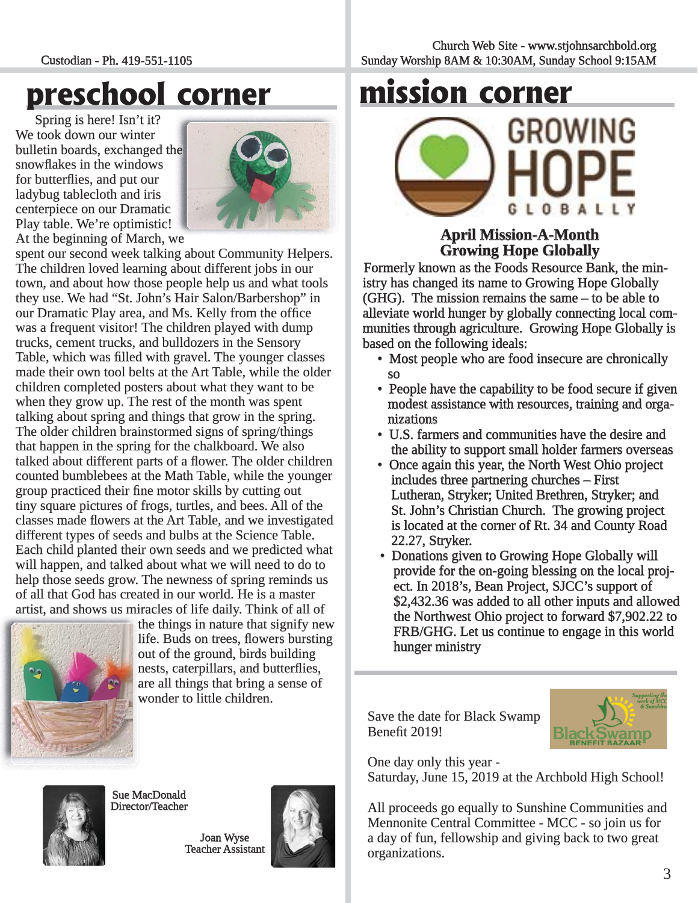#### Custodian - Ph. 419-551-1105

## **preschool corner**

Spring is here! Isn't it? We took down our winter bulletin boards, exchanged the snowflakes in the windows for butterflies, and put our ladybug tablecloth and iris centerpiece on our Dramatic Play table. We're optimistic!



At the beginning of March, we

spent our second week talking about Community Helpers. The children loved learning about different jobs in our town, and about how those people help us and what tools they use. We had "St. John's Hair Salon/Barbershop" in our Dramatic Play area, and Ms. Kelly from the office was a frequent visitor! The children played with dump trucks, cement trucks, and bulldozers in the Sensory Table, which was filled with gravel. The younger classes made their own tool belts at the Art Table, while the older children completed posters about what they want to be when they grow up. The rest of the month was spent talking about spring and things that grow in the spring. The older children brainstormed signs of spring/things that happen in the spring for the chalkboard. We also talked about different parts of a flower. The older children counted bumblebees at the Math Table, while the younger group practiced their fine motor skills by cutting out tiny square pictures of frogs, turtles, and bees. All of the classes made flowers at the Art Table, and we investigated different types of seeds and bulbs at the Science Table. Each child planted their own seeds and we predicted what will happen, and talked about what we will need to do to help those seeds grow. The newness of spring reminds us of all that God has created in our world. He is a master f artist, and shows us miracles of life daily. Think of all of ,



the things in nature that signify new t life. Buds on trees, flowers bursting out of the ground, birds building nests, caterpillars, and butterflies, are all things that bring a sense of a wonder to little children. w



Sue MacDonald Director/Teacher

> Joan Wyse Teacher Assistant





### **April Mission-A-Month pril Growing Hope Globally rowing**

Formerly known as the Foods Resource Bank, the ministry has changed its name to Growing Hope Globally  $(GHG)$ . The mission remains the same  $-$  to be able to alleviate world hunger by globally connecting local communities through agriculture. Growing Hope Globally is based on the following ideals:

- Most people who are food insecure are chronically so
- People have the capability to be food secure if given modest assistance with resources, training and orga nizations
- U.S. farmers and communities have the desire and the ability to support small holder farmers overseas
- Once again this year, the North West Ohio project includes three partnering churches – First Lutheran, Stryker; United Brethren, Stryker; and St. John's Christian Church. The growing project is located at the corner of Rt. 34 and County Road 22.27, Stryker.
- Donations given to Growing Hope Globally will provide for the on-going blessing on the local proj ect. In 2018's, Bean Project, SJCC's support of \$2,432.36 was added to all other inputs and allowed the Northwest Ohio project to forward \$7,902.22 to FRB/GHG. Let us continue to engage in this world hunger ministry

Save the date for Black Swamp Benefit 2019!



One day only this year -

Saturday, June 15, 2019 at the Archbold High School!

All proceeds go equally to Sunshine Communities and Mennonite Central Committee - MCC - so join us for a day of fun, fellowship and giving back to two great organizations.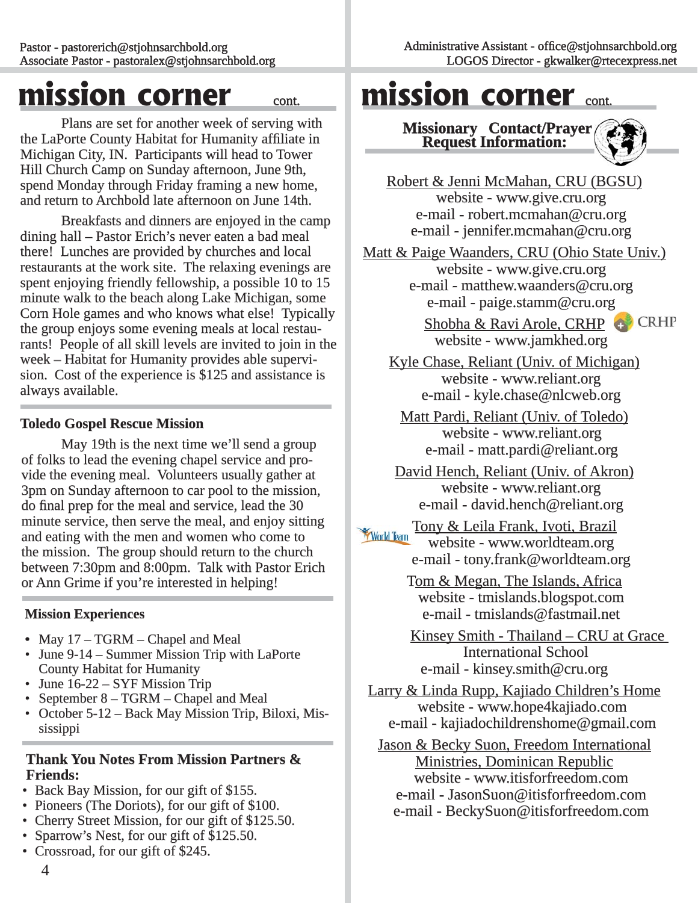### **mission corner** cont.

 Plans are set for another week of serving with the LaPorte County Habitat for Humanity affiliate in Michigan City, IN. Participants will head to Tower Hill Church Camp on Sunday afternoon, June 9th, spend Monday through Friday framing a new home, and return to Archbold late afternoon on June 14th.

 Breakfasts and dinners are enjoyed in the camp dining hall – Pastor Erich's never eaten a bad meal there! Lunches are provided by churches and local restaurants at the work site. The relaxing evenings are spent enjoying friendly fellowship, a possible  $10$  to  $15$ minute walk to the beach along Lake Michigan, some Corn Hole games and who knows what else! Typically the group enjoys some evening meals at local restaurants! People of all skill levels are invited to join in the week – Habitat for Humanity provides able supervision. Cost of the experience is \$125 and assistance is always available.

#### **Toledo Gospel Rescue Mission oledo Gospel Rescue**

May 19th is the next time we'll send a group of folks to lead the evening chapel service and provide the evening meal. Volunteers usually gather at 3pm on Sunday afternoon to car pool to the mission, do final prep for the meal and service, lead the 30 minute service, then serve the meal, and enjoy sitting and eating with the men and women who come to the mission. The group should return to the church between 7:30pm and 8:00pm. Talk with Pastor Erich or Ann Grime if you're interested in helping!

#### **Mission Experiences ission**

- May 17 TGRM Chapel and Meal
- June 9-14 Summer Mission Trip with LaPorte County Habitat for Humanity
- June  $16-22 SYF$  Mission Trip
- September 8 TGRM Chapel and Meal
- October 5-12 Back May Mission Trip, Biloxi, Mississippi

#### **Thank You Notes From Mission Partners & Friends:**

- Back Bay Mission, for our gift of \$155.
- Pioneers (The Doriots), for our gift of \$100.
- Cherry Street Mission, for our gift of \$125.50.
- Sparrow's Nest, for our gift of \$125.50.
- Crossroad, for our gift of \$245.

### **mission corner** cont.

**Missionary Contact/Prayer Request Information:** 



Robert & Jenni McMahan, CRU (BGSU) website - www.give.cru.org e-mail - robert.mcmahan@cru.org e-mail - jennifer.mcmahan@cru.org

Matt & Paige Waanders, CRU (Ohio State Univ.) website - www.give.cru.org e-mail - matthew.waanders@cru.org e-mail - paige.stamm@cru.org

> Shobha & Ravi Arole, CRHP **c** CRHP website - www.jamkhed.org

Kyle Chase, Reliant (Univ. of Michigan) website - www.reliant.org e-mail - kyle.chase@nlcweb.org

Matt Pardi, Reliant (Univ. of Toledo) website - www.reliant.org e-mail - matt.pardi@reliant.org

David Hench, Reliant (Univ. of Akron) website - www.reliant.org e-mail - david.hench@reliant.org

Tony & Leila Frank, Ivoti, Brazil **World Team**  website - www.worldteam.org e-mail - tony.frank@worldteam.org

> Tom & Megan, The Islands, Africa website - tmislands.blogspot.com e-mail - tmislands@fastmail.net

Kinsey Smith - Thailand – CRU at Grace **International School** e-mail - kinsey.smith@cru.org

Larry & Linda Rupp, Kajiado Children's Home website - www.hope4kajiado.com e-mail - kajiadochildrenshome@gmail.com

Jason & Becky Suon, Freedom International Ministries, Dominican Republic website - www.itisforfreedom.com e-mail - JasonSuon@itisforfreedom.com e-mail - BeckySuon@itisforfreedom.com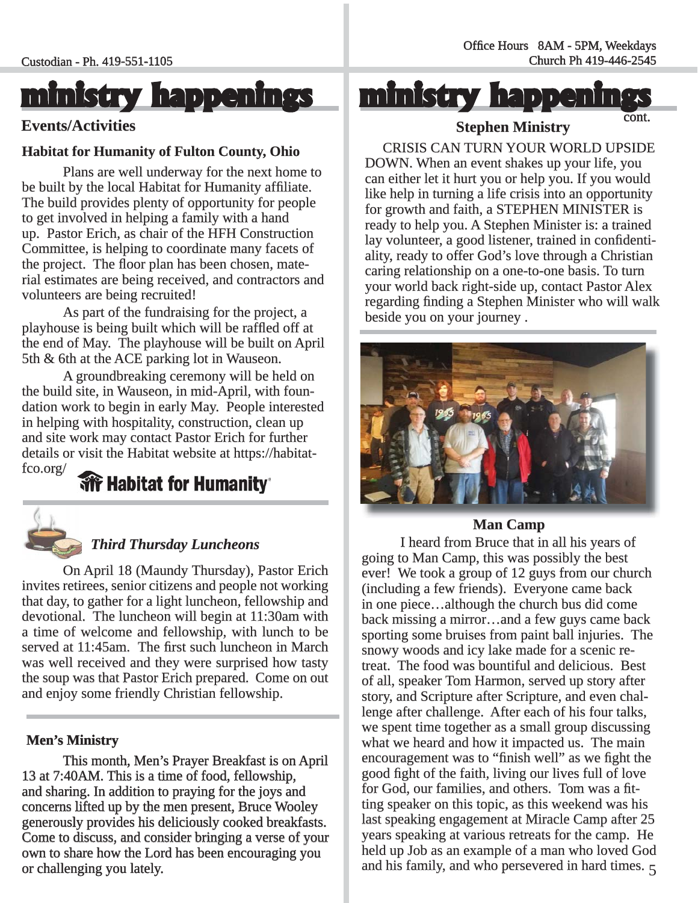### **ministry happenings inistry**

### Events/Activities **Events/Activities Events/Activities Cont.**

#### **Habitat for Humanity of Fulton County, Ohio**

Plans are well underway for the next home to be built by the local Habitat for Humanity affiliate. The build provides plenty of opportunity for people to get involved in helping a family with a hand up. Pastor Erich, as chair of the HFH Construction Committee, is helping to coordinate many facets of the project. The floor plan has been chosen, material estimates are being received, and contractors and volunteers are being recruited!

 As part of the fundraising for the project, a playhouse is being built which will be raffled off at the end of May. The playhouse will be built on April 5th  $&$  6th at the ACE parking lot in Wauseon.

 A groundbreaking ceremony will be held on the build site, in Wauseon, in mid-April, with foundation work to begin in early May. People interested in helping with hospitality, construction, clean up and site work may contact Pastor Erich for further details or visit the Habitat website at https://habitat $f_{\text{co.org}}/$ 

#### **We Habitat for Humanity**



#### *Third Thursday Luncheons hird*

 On April 18 (Maundy Thursday), Pastor Erich invites retirees, senior citizens and people not working that day, to gather for a light luncheon, fellowship and devotional. The luncheon will begin at 11:30am with a time of welcome and fellowship, with lunch to be served at 11:45am. The first such luncheon in March was well received and they were surprised how tasty the soup was that Pastor Erich prepared. Come on out and enjoy some friendly Christian fellowship.

#### **Men's Ministry**

 This month, Men's Prayer Breakfast is on April 13 at 7:40AM. This is a time of food, fellowship, 3 and sharing. In addition to praying for the joys and concerns lifted up by the men present, Bruce Wooley generously provides his deliciously cooked breakfasts. Come to discuss, and consider bringing a verse of your own to share how the Lord has been encouraging you or challenging you lately.

**ministry happenings inistry** 

**Stephen Ministry tephen** 

 CRISIS CAN TURN YOUR WORLD UPSIDE DOWN. When an event shakes up your life, you can either let it hurt you or help you. If you would like help in turning a life crisis into an opportunity for growth and faith, a STEPHEN MINISTER is ready to help you. A Stephen Minister is: a trained lay volunteer, a good listener, trained in confidentiality, ready to offer God's love through a Christian caring relationship on a one-to-one basis. To turn your world back right-side up, contact Pastor Alex regarding finding a Stephen Minister who will walk beside you on your journey.



#### **Man Camp**

and his family, and who persevered in hard times.  $5$  I heard from Bruce that in all his years of going to Man Camp, this was possibly the best ever! We took a group of  $12$  guys from our church (including a few friends). Everyone came back in one piece…although the church bus did come n back missing a mirror...and a few guys came back sporting some bruises from paint ball injuries. The snowy woods and icy lake made for a scenic retreat. The food was bountiful and delicious. Best of all, speaker Tom Harmon, served up story after f story, and Scripture after Scripture, and even challenge after challenge. After each of his four talks, we spent time together as a small group discussing what we heard and how it impacted us. The main encouragement was to "finish well" as we fight the good fight of the faith, living our lives full of love for God, our families, and others. Tom was a fitting speaker on this topic, as this weekend was his last speaking engagement at Miracle Camp after 25 years speaking at various retreats for the camp. He held up Job as an example of a man who loved God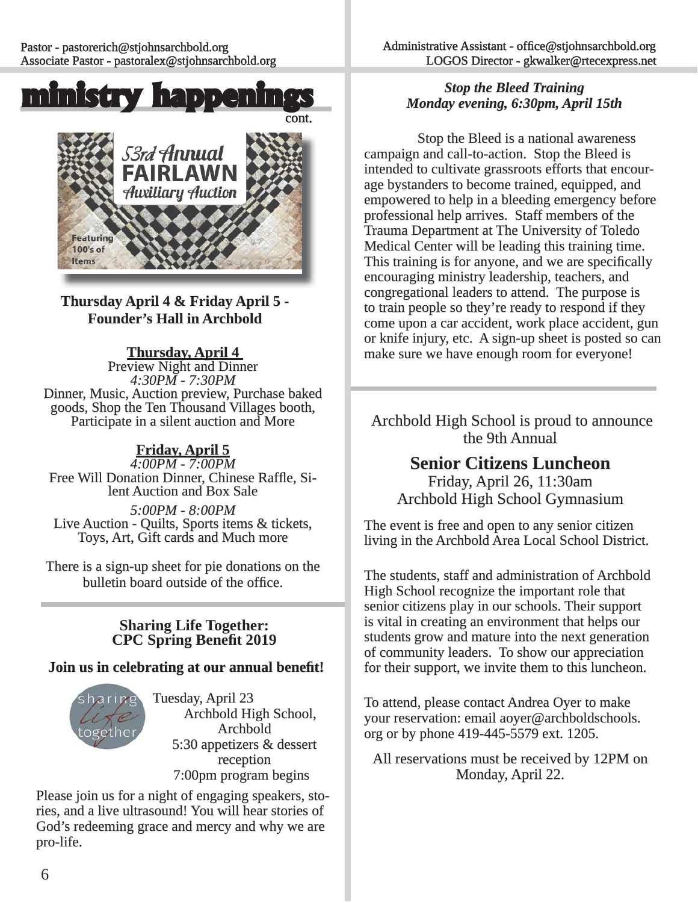



**Thursday April 4 & Friday April 5 - hursday Founder's Hall in Archbold ounder's** 

**Thursday, April 4**<br>Preview Night and Dinner<br>4:30PM - 7:30PM Dinner, Music, Auction preview, Purchase baked<br>goods, Shop the Ten Thousand Villages booth,<br>Participate in a silent auction and More

#### **Friday, April 5 riday,**

*4:00PM - 7:00PM :00PM*  Free Will Donation Dinner, Chinese Raffle, Silent Auction and Box Sale

*5:00PM - 8:00PM*<br>Live Auction - Quilts, Sports items & tickets, Toys, Art, Gift cards and Much more

There is a sign-up sheet for pie donations on the bulletin board outside of the office.

> **Sharing Life Together: CPC Spring Benefi t 2019**

#### **Join us in celebrating at our annual benefit!**



Tuesday, April 23 Archbold High School, Archbold 5:30 appetizers & dessert reception 7:00pm program begins

Please join us for a night of engaging speakers, stories, and a live ultrasound! You will hear stories of God's redeeming grace and mercy and why we are pro-life.

#### *Stop the Bleed Training Monday evening, 6:30pm, April 15th onday*

 Stop the Bleed is a national awareness campaign and call-to-action. Stop the Bleed is intended to cultivate grassroots efforts that encourage bystanders to become trained, equipped, and empowered to help in a bleeding emergency before professional help arrives. Staff members of the Trauma Department at The University of Toledo Medical Center will be leading this training time. This training is for anyone, and we are specifically encouraging ministry leadership, teachers, and congregational leaders to attend. The purpose is to train people so they're ready to respond if they come upon a car accident, work place accident, gun or knife injury, etc. A sign-up sheet is posted so can r make sure we have enough room for everyone!

Archbold High School is proud to announce the 9th Annual

#### **Senior Citizens Luncheon** Friday, April 26, 11:30am

Archbold High School Gymnasium

The event is free and open to any senior citizen living in the Archbold Area Local School District.

The students, staff and administration of Archbold High School recognize the important role that senior citizens play in our schools. Their support is vital in creating an environment that helps our students grow and mature into the next generation of community leaders. To show our appreciation f for their support, we invite them to this luncheon.

To attend, please contact Andrea Oyer to make your reservation: email aoyer@archboldschools. org or by phone 419-445-5579 ext. 1205.

All reservations must be received by 12PM on Monday, April 22.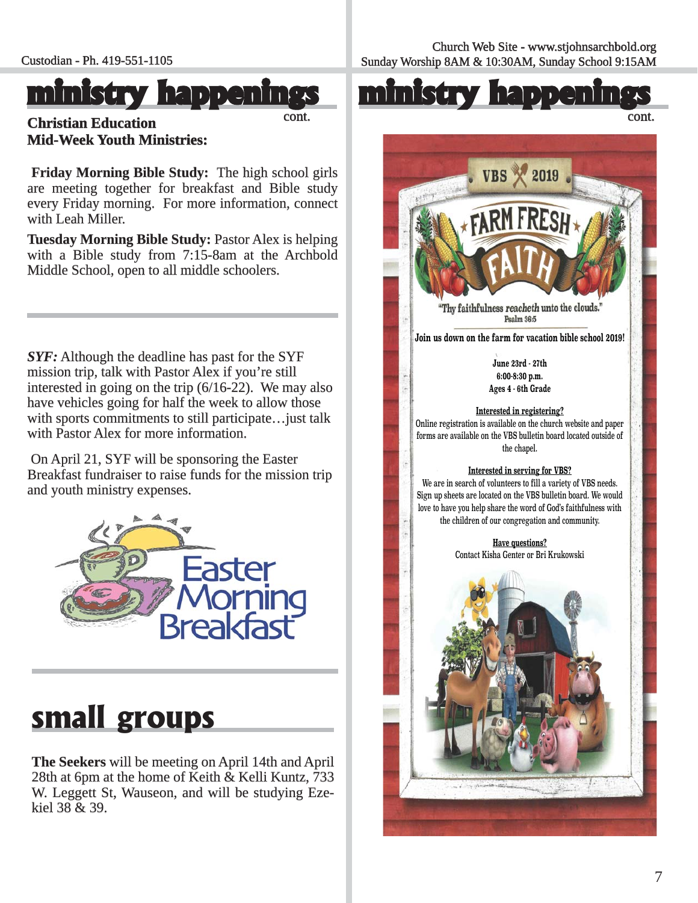### **ministry happenings inistry**

cont.

**Christian Education hristian Mid-Week Youth Ministries:** 

**Friday Morning Bible Study:** The high school girls are meeting together for breakfast and Bible study every Friday morning. For more information, connect with Leah Miller.

**Tuesday Morning Bible Study: Pastor Alex is helping** with a Bible study from  $7:15-8$ am at the Archbold Middle School, open to all middle schoolers.

*SYF:*Although the deadline has past for the SYF mission trip, talk with Pastor Alex if you're still interested in going on the trip  $(6/16-22)$ . We may also have vehicles going for half the week to allow those with sports commitments to still participate... just talk with Pastor Alex for more information.

On April 21, SYF will be sponsoring the Easter Breakfast fundraiser to raise funds for the mission trip and youth ministry expenses.



### **small groups**

**The Seekers** will be meeting on April 14th and April 28th at 6pm at the home of Keith  $&$  Kelli Kuntz, 733 W. Leggett St, Wauseon, and will be studying Ezekiel  $38 & 39$ .



cont.

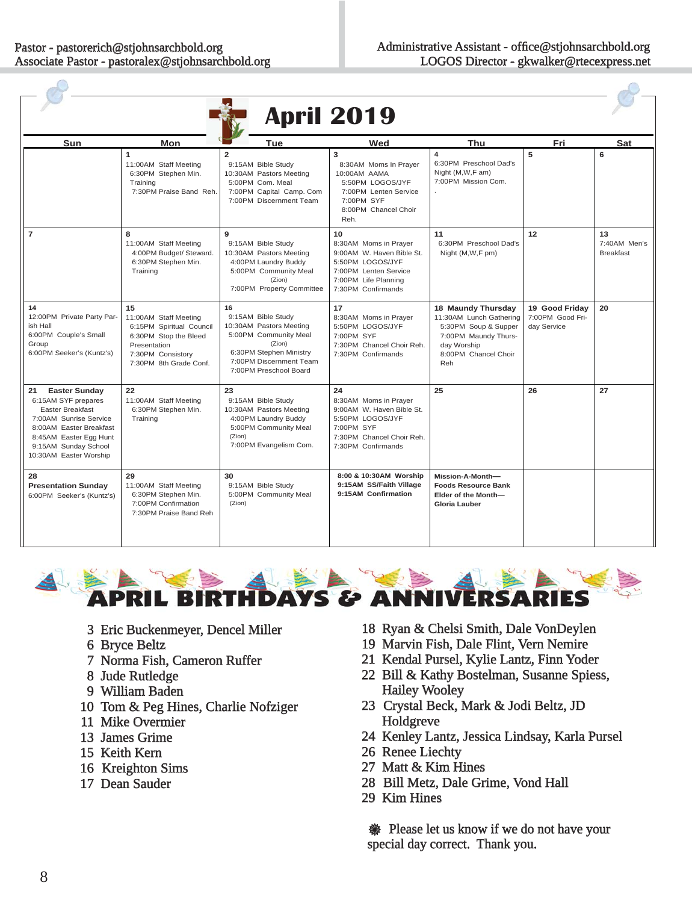$\bigcap$ 

 $\sqrt{2}$ 

|                                                                                                                                                                                                               |                                                                                                                                                 |                                                                                                                                                                        | <b>April 2019</b>                                                                                                                                   |                                                                                                                                             |                                                   |                                        |
|---------------------------------------------------------------------------------------------------------------------------------------------------------------------------------------------------------------|-------------------------------------------------------------------------------------------------------------------------------------------------|------------------------------------------------------------------------------------------------------------------------------------------------------------------------|-----------------------------------------------------------------------------------------------------------------------------------------------------|---------------------------------------------------------------------------------------------------------------------------------------------|---------------------------------------------------|----------------------------------------|
| Sun                                                                                                                                                                                                           | Mon                                                                                                                                             | Tue                                                                                                                                                                    | Wed                                                                                                                                                 | <b>Thu</b>                                                                                                                                  | Fri                                               | <b>Sat</b>                             |
|                                                                                                                                                                                                               | $\mathbf{1}$<br>11:00AM Staff Meeting<br>6:30PM Stephen Min.<br>Training<br>7:30PM Praise Band Reh.                                             | $\mathbf{z}$<br>9:15AM Bible Study<br>10:30AM Pastors Meeting<br>5:00PM Com. Meal<br>7:00PM Capital Camp. Com<br>7:00PM Discernment Team                               | 3<br>8:30AM Moms In Prayer<br>10:00AM AAMA<br>5:50PM LOGOS/JYF<br>7:00PM Lenten Service<br>7:00PM SYF<br>8:00PM Chancel Choir<br>Reh.               | $\overline{\mathbf{4}}$<br>6:30PM Preschool Dad's<br>Night (M, W, F am)<br>7:00PM Mission Com.                                              | 5                                                 | 6                                      |
| $\overline{7}$                                                                                                                                                                                                | 8<br>11:00AM Staff Meeting<br>4:00PM Budget/ Steward.<br>6:30PM Stephen Min.<br>Training                                                        | 9<br>9:15AM Bible Study<br>10:30AM Pastors Meeting<br>4:00PM Laundry Buddy<br>5:00PM Community Meal<br>(Zion)<br>7:00PM Property Committee                             | 10<br>8:30AM Moms in Prayer<br>9:00AM W. Haven Bible St.<br>5:50PM LOGOS/JYF<br>7:00PM Lenten Service<br>7:00PM Life Planning<br>7:30PM Confirmands | 11<br>6:30PM Preschool Dad's<br>Night (M, W, F pm)                                                                                          | 12                                                | 13<br>7:40AM Men's<br><b>Breakfast</b> |
| 14<br>12:00PM Private Party Par-<br>ish Hall<br>6:00PM Couple's Small<br>Group<br>6:00PM Seeker's (Kuntz's)                                                                                                   | 15<br>11:00AM Staff Meeting<br>6:15PM Spiritual Council<br>6:30PM Stop the Bleed<br>Presentation<br>7:30PM Consistory<br>7:30PM 8th Grade Conf. | 16<br>9:15AM Bible Study<br>10:30AM Pastors Meeting<br>5:00PM Community Meal<br>(Zion)<br>6:30PM Stephen Ministry<br>7:00PM Discernment Team<br>7:00PM Preschool Board | 17<br>8:30AM Moms in Prayer<br>5:50PM LOGOS/JYF<br>7:00PM SYF<br>7:30PM Chancel Choir Reh.<br>7:30PM Confirmands                                    | 18 Maundy Thursday<br>11:30AM Lunch Gathering<br>5:30PM Soup & Supper<br>7:00PM Maundy Thurs-<br>day Worship<br>8:00PM Chancel Choir<br>Reh | 19 Good Friday<br>7:00PM Good Fri-<br>day Service | 20                                     |
| <b>Easter Sunday</b><br>21<br>6:15AM SYF prepares<br><b>Easter Breakfast</b><br>7:00AM Sunrise Service<br>8:00AM Easter Breakfast<br>8:45AM Easter Egg Hunt<br>9:15AM Sunday School<br>10:30AM Easter Worship | 22<br>11:00AM Staff Meeting<br>6:30PM Stephen Min.<br>Training                                                                                  | 23<br>9:15AM Bible Study<br>10:30AM Pastors Meeting<br>4:00PM Laundry Buddy<br>5:00PM Community Meal<br>(Zion)<br>7:00PM Evangelism Com.                               | 24<br>8:30AM Moms in Prayer<br>9:00AM W. Haven Bible St.<br>5:50PM LOGOS/JYF<br>7:00PM SYF<br>7:30PM Chancel Choir Reh.<br>7:30PM Confirmands       | 25                                                                                                                                          | 26                                                | 27                                     |
| 28<br><b>Presentation Sunday</b><br>6:00PM Seeker's (Kuntz's)                                                                                                                                                 | 29<br>11:00AM Staff Meeting<br>6:30PM Stephen Min.<br>7:00PM Confirmation<br>7:30PM Praise Band Reh                                             | 30<br>9:15AM Bible Study<br>5:00PM Community Meal<br>(Zion)                                                                                                            | 8:00 & 10:30AM Worship<br>9:15AM SS/Faith Village<br>9:15AM Confirmation                                                                            | Mission-A-Month-<br><b>Foods Resource Bank</b><br>Elder of the Month-<br><b>Gloria Lauber</b>                                               |                                                   |                                        |



- 3 Eric Buckenmeyer, Dencel Miller
- 6 Bryce Beltz
- 7 Norma Fish, Cameron Ruffer
- 8 Jude Rutledge
- 9 William Baden
- 10 Tom & Peg Hines, Charlie Nofziger
- 11 Mike Overmier
- 13 James Grime
- 15 Keith Kern
- 16 Kreighton Sims
- 17 Dean Sauder
- 18 Ryan & Chelsi Smith, Dale VonDeylen 8
- 19 Marvin Fish, Dale Flint, Vern Nemire
- 21 Kendal Pursel, Kylie Lantz, Finn Yoder 1
- 22 Bill & Kathy Bostelman, Susanne Spiess, 2 Hailey Wooley
- 23 Crystal Beck, Mark & Jodi Beltz, JD 3 Holdgreve
- 24 Kenley Lantz, Jessica Lindsay, Karla Pursel 4
- 26 Renee Liechty 6
- 27 Matt & Kim Hines
- 28 Bill Metz, Dale Grime, Vond Hall 8
- 29 Kim Hines

**WE Please let us know if we do not have your** special day correct. Thank you.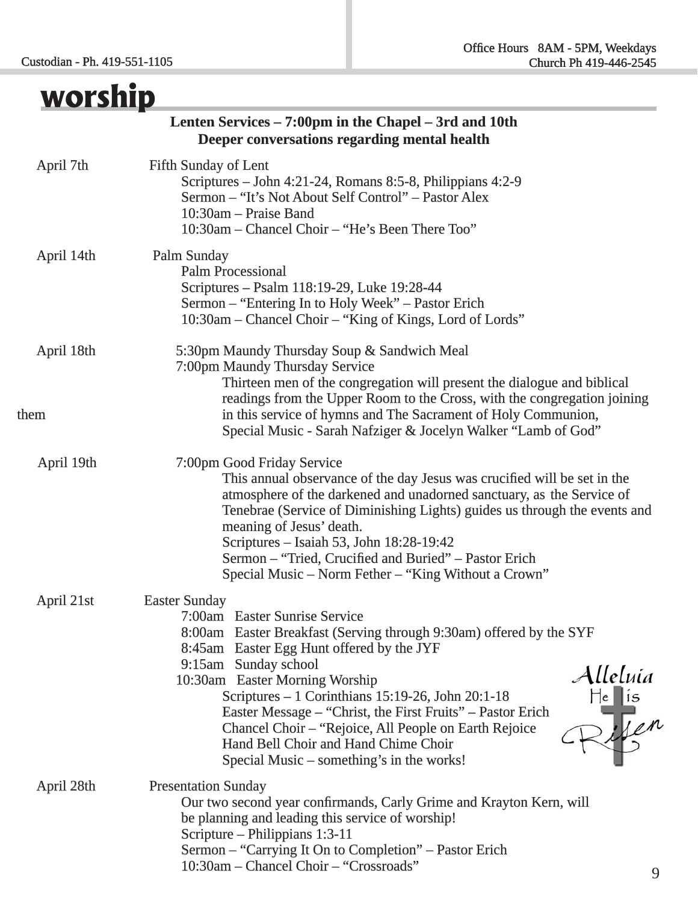| worship            |                                                                                                                                                                                                                                                                                                                                                                                                                                                                                                                                                 |
|--------------------|-------------------------------------------------------------------------------------------------------------------------------------------------------------------------------------------------------------------------------------------------------------------------------------------------------------------------------------------------------------------------------------------------------------------------------------------------------------------------------------------------------------------------------------------------|
|                    | Lenten Services – 7:00pm in the Chapel – 3rd and 10th<br>Deeper conversations regarding mental health                                                                                                                                                                                                                                                                                                                                                                                                                                           |
| April 7th          | <b>Fifth Sunday of Lent</b><br>Scriptures – John 4:21-24, Romans 8:5-8, Philippians 4:2-9<br>Sermon - "It's Not About Self Control" - Pastor Alex<br>10:30am – Praise Band<br>10:30am – Chancel Choir – "He's Been There Too"                                                                                                                                                                                                                                                                                                                   |
| April 14th         | Palm Sunday<br><b>Palm Processional</b><br>Scriptures – Psalm 118:19-29, Luke 19:28-44<br>Sermon – "Entering In to Holy Week" – Pastor Erich<br>10:30am – Chancel Choir – "King of Kings, Lord of Lords"                                                                                                                                                                                                                                                                                                                                        |
| April 18th<br>them | 5:30pm Maundy Thursday Soup & Sandwich Meal<br>7:00pm Maundy Thursday Service<br>Thirteen men of the congregation will present the dialogue and biblical<br>readings from the Upper Room to the Cross, with the congregation joining<br>in this service of hymns and The Sacrament of Holy Communion,<br>Special Music - Sarah Nafziger & Jocelyn Walker "Lamb of God"                                                                                                                                                                          |
| April 19th         | 7:00pm Good Friday Service<br>This annual observance of the day Jesus was crucified will be set in the<br>atmosphere of the darkened and unadorned sanctuary, as the Service of<br>Tenebrae (Service of Diminishing Lights) guides us through the events and<br>meaning of Jesus' death.<br>Scriptures - Isaiah 53, John 18:28-19:42<br>Sermon - "Tried, Crucified and Buried" - Pastor Erich<br>Special Music – Norm Fether – "King Without a Crown"                                                                                           |
| April 21st         | <b>Easter Sunday</b><br>7:00am Easter Sunrise Service<br>8:00am Easter Breakfast (Serving through 9:30am) offered by the SYF<br>8:45am Easter Egg Hunt offered by the JYF<br>9:15am Sunday school<br>Alleluia<br>He lis<br>Rife <sup>n</sup><br>10:30am Easter Morning Worship<br>Scriptures - 1 Corinthians 15:19-26, John 20:1-18<br>Easter Message – "Christ, the First Fruits" – Pastor Erich<br>Chancel Choir – "Rejoice, All People on Earth Rejoice<br>Hand Bell Choir and Hand Chime Choir<br>Special Music – something's in the works! |
| April 28th         | <b>Presentation Sunday</b><br>Our two second year confirmands, Carly Grime and Krayton Kern, will<br>be planning and leading this service of worship!<br>Scripture – Philippians 1:3-11<br>Sermon – "Carrying It On to Completion" – Pastor Erich<br>10:30am - Chancel Choir - "Crossroads"                                                                                                                                                                                                                                                     |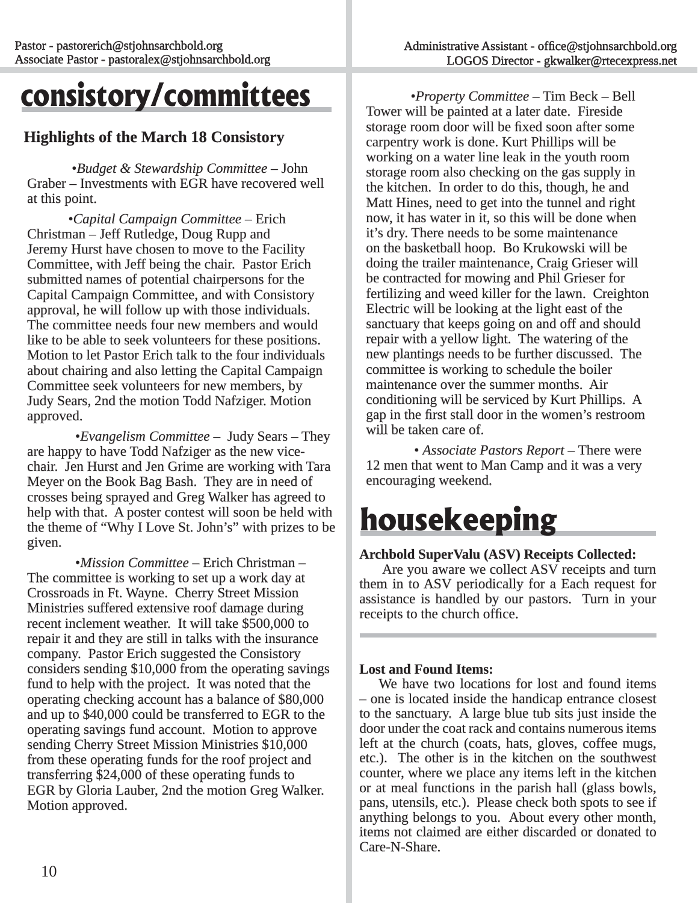### **consistory/committees**

#### **Highlights of the March 18 Consistory ighlights**

•*Budget & Stewardship Committee* – John Graber – Investments with EGR have recovered well at this point.

 •*Capital Campaign Committee apital* – Erich Christman – Jeff Rutledge, Doug Rupp and Jeremy Hurst have chosen to move to the Facility Committee, with Jeff being the chair. Pastor Erich submitted names of potential chairpersons for the Capital Campaign Committee, and with Consistory approval, he will follow up with those individuals. The committee needs four new members and would like to be able to seek volunteers for these positions. Motion to let Pastor Erich talk to the four individuals about chairing and also letting the Capital Campaign Committee seek volunteers for new members, by Judy Sears, 2nd the motion Todd Nafziger. Motion approved.

•*Evangelism Committee* – Judy Sears – They are happy to have Todd Nafziger as the new vicechair. Jen Hurst and Jen Grime are working with Tara Meyer on the Book Bag Bash. They are in need of crosses being sprayed and Greg Walker has agreed to help with that. A poster contest will soon be held with the theme of "Why I Love St. John's" with prizes to be given.

•*Mission Committee* – Erich Christman – The committee is working to set up a work day at Crossroads in Ft. Wayne. Cherry Street Mission Ministries suffered extensive roof damage during recent inclement weather. It will take \$500,000 to repair it and they are still in talks with the insurance company. Pastor Erich suggested the Consistory considers sending  $$10,000$  from the operating savings fund to help with the project. It was noted that the operating checking account has a balance of \$80,000 and up to \$40,000 could be transferred to EGR to the operating savings fund account. Motion to approve sending Cherry Street Mission Ministries \$10,000 from these operating funds for the roof project and transferring  $$24,000$  of these operating funds to EGR by Gloria Lauber, 2nd the motion Greg Walker. Motion approved.

•*Property Committee* – Tim Beck – Bell Tower will be painted at a later date. Fireside storage room door will be fixed soon after some carpentry work is done. Kurt Phillips will be working on a water line leak in the youth room storage room also checking on the gas supply in the kitchen. In order to do this, though, he and Matt Hines, need to get into the tunnel and right now, it has water in it, so this will be done when it's dry. There needs to be some maintenance on the basketball hoop. Bo Krukowski will be n doing the trailer maintenance, Craig Grieser will be contracted for mowing and Phil Grieser for fertilizing and weed killer for the lawn. Creighton Electric will be looking at the light east of the sanctuary that keeps going on and off and should repair with a yellow light. The watering of the new plantings needs to be further discussed. The committee is working to schedule the boiler maintenance over the summer months. Air conditioning will be serviced by Kurt Phillips. A gap in the first stall door in the women's restroom will be taken care of.

• *Associate Pastors Report* – There were 12 men that went to Man Camp and it was a very encouraging weekend.

### **housekeeping**

#### Archbold SuperValu (ASV) Receipts Collected:

 Are you aware we collect ASV receipts and turn them in to ASV periodically for a Each request for assistance is handled by our pastors. Turn in your receipts to the church office.

#### **Lost and Found Items:**

We have two locations for lost and found items – one is located inside the handicap entrance closest to the sanctuary. A large blue tub sits just inside the door under the coat rack and contains numerous items left at the church (coats, hats, gloves, coffee mugs, etc.). The other is in the kitchen on the southwest counter, where we place any items left in the kitchen or at meal functions in the parish hall (glass bowls, pans, utensils, etc.). Please check both spots to see if anything belongs to you. About every other month, items not claimed are either discarded or donated to Care-N-Share.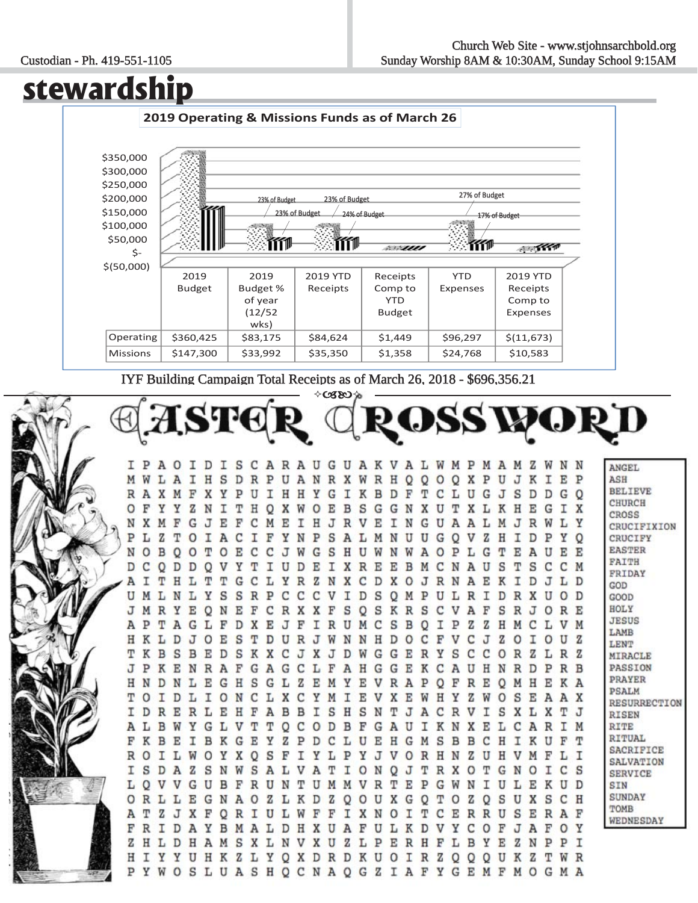#### Custodian - Ph. 419-551-1105

### **stewardship**



IYF Building Campaign Total Receipts as of March 26, 2018 - \$696,356.21